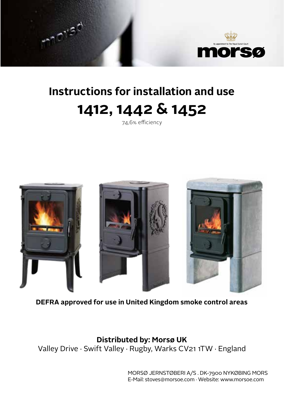

# **Instructions for installation and use 1412, 1442 & 1452**

mist

74,6% efficiency



**DEFRA approved for use in United Kingdom smoke control areas**

**Distributed by: Morsø UK** Valley Drive · Swift Valley · Rugby, Warks CV21 1TW · England

> MORSØ JERNSTØBERI A/S . DK-7900 NYKØBING MORS E-Mail: stoves@morsoe.com · Website: www.morsoe.com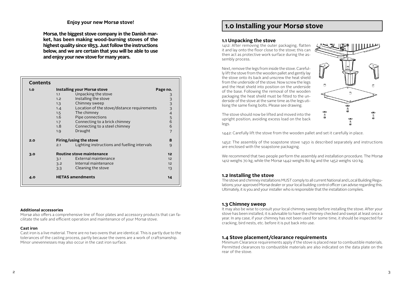# **Enjoy your new Morsø stove!**

**Morsø, the biggest stove company in the Danish market, has been making wood-burning stoves of the highest quality since 1853. Just follow the instructions below, and we are certain that you will be able to use and enjoy your new stove for many years.**

| <b>Contents</b> |                               |                                              |                 |
|-----------------|-------------------------------|----------------------------------------------|-----------------|
| 1.0             | Installing your Morsø stove   |                                              | Page no.        |
|                 | 1.1                           | Unpacking the stove                          |                 |
|                 | 1.2                           | Installing the stove                         |                 |
|                 | 1.3                           | Chimney sweep                                |                 |
|                 | 1.4                           | Location of the stove/distance requirements  |                 |
|                 | 1.5                           | The chimney                                  | 3 3 3 3 4 5 6   |
|                 | 1.6                           | Pipe connections                             |                 |
|                 | 1.7                           | Connecting to a brick chimney                |                 |
|                 | 1.8 <sup>°</sup>              | Connecting to a steel chimney                | 6               |
|                 | 1.9                           | Draught                                      | $\overline{7}$  |
| 2.0             | Firing/using the stove        |                                              | 8               |
|                 | 2.1                           | Lighting instructions and fuelling intervals | 9               |
| 3.0             | Routine stove maintenance     |                                              | 12 <sub>2</sub> |
|                 | 3.1                           | External maintenance                         | 12              |
|                 | 3.2                           | Internal maintenance                         | 12 <sup>2</sup> |
|                 | 3.3                           | Cleaning the stove                           | 13              |
| 4.0             | <b>HETAS amendments</b><br>14 |                                              |                 |

#### **Additional accessories**

Morsø also offers a comprehensive line of floor plates and accessory products that can facilitate the safe and efficient operation and maintenance of your Morsø stove.

#### **Cast iron**

Cast iron is a live material. There are no two ovens that are identical. This is partly due to the tolerances of the casting process, partly because the ovens are a work of craftsmanship. Minor unevennesses may also occur in the cast iron surface.

# **1.0 Installing your Morsø stove**

#### **1.1 Unpacking the stove**

1412: After removing the outer packaging, flatten it and lay onto the floor close to the stove; this can then act as protective work surface during the assembly process.

Next, remove the legs from inside the stove. Carefully lift the stove from the wooden pallet and gently lay the stove onto its back and unscrew the heat shield from the underside of the stove. Now screw the legs and the Heat shield into position on the underside of the base. Following the removal of the wooden packaging the heat shield must be fitted to the underside of the stove at the same time as the legs utilising the same fixing bolts. Please see drawing.



The stove should now be lifted and moved into the upright position, avoiding excess load on the back legs.

1442: Carefully lift the stove from the wooden pallet and set it carefully in place.

1452: The assembly of the soapstone stove 1450 is described separately and instructions are enclosed with the soapstone packaging.

We recommend that two people perform the assembly and installation procedure. The Morsø 1412 weighs 70 kg, while the Morsø 1442 weighs 80 kg and the 1452 weighs 120 kg.

# **1.2 Installing the stove**

The stove and chimney installations MUST comply to all current National and Local Building Regulations; your approved Morsø dealer or your local building control officer can advise regarding this. Ultimately, it is you and your installer who is responsible that the installation complies.

# **1.3 Chimney sweep**

It may also be wise to consult your local chimney sweep before installing the stove. After your stove has been installed, it is advisable to have the chimney checked and swept at least once a year. In any case, if your chimney has not been used for some time, it should be inspected for cracking, bird nests, etc. before it is put back into use.

#### **1.4 Stove placement/clearance requirements**

Minimum Clearance requirements apply if the stove is placed near to combustible materials. Permitted clearances to combustible materials are also indicated on the data plate on the rear of the stove.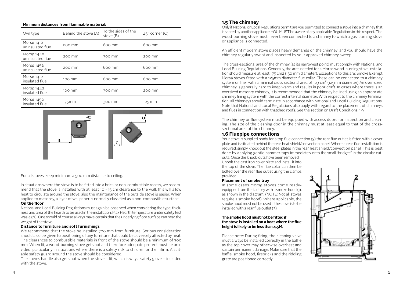| Minimum distances from flammable material: |                      |                                  |                         |  |
|--------------------------------------------|----------------------|----------------------------------|-------------------------|--|
| Ovn type                                   | Behind the stove (A) | To the sides of the<br>stove (B) | $45^{\circ}$ corner (C) |  |
| Morsø 1412<br>uninsulated flue             | 200 mm               | 600 mm                           | 600 mm                  |  |
| Morsø 1442<br>uninsulated flue             | 200 mm               | 300 mm                           | 200 mm                  |  |
| Morsø 1452<br>uninsulated flue             | 200 mm               | 600 mm                           | 600 mm                  |  |
| Morsø 1412<br>insulated flue               | 100 mm               | 600 mm                           | 600 mm                  |  |
| Morsø 1442<br>insulated flue               | 100 mm               | 300 mm                           | 200 mm                  |  |
| Morsø 1452<br>insulated flue               | $175$ mm             | 300 mm                           | 125 mm                  |  |





For all stoves, keep minimum a 500 mm distance to ceiling.

In situations where the stove is to be fitted into a brick or non-combustible recess, we recommend that the stove is installed with at least 10 - 15 cm clearance to the wall, this will allow **1:10** The maintenance of the outside stowe; also the maintenance of the outside stove is easier. When heat to circulate around the stove; also the maintenance of the outside stove is easier. When applied to masonry, a layer of wallpaper is normally classified as a non-combustible surface. Date of print: 03-12-2009 afficient time to contract the second is easier.<br>Formally classified as a non-combustible sur Date of print: 28-09-2016

#### **On the floor A/S**' property and must not be sold, lended or company.

National and Local Building Regulations must again be observed when considering the type, thickness and area of the hearth to be used in the installation. Max Hearth temperature under safety test was 45°C. One should of course always make certain that the underlying floor surface can bear the weight of the stove. rain l

#### **Distance to furniture and soft furnishings**

We recommend that the stove be installed 700 mm from furniture. Serious consideration should also be given to positioning of any furniture that could be adversely affected by heat. The clearances to combustible materials in front of the stove should be a minimum of 700 mm. When lit, a wood-burning stove gets hot and therefore adequate protect must be provided, particularly in situations where there is a safety risk to children or the infirm. A suitable safety guard around the stove should be considered.

The stoves handle also gets hot when the stove is lit, which is why a safety glove is included with the stove.

# **1.5 The chimney**

Only if National or Local Regulations permit are you permitted to connect a stove into a chimney that is shared by another appliance. YOU MUST be aware of any applicable Regulations in this respect. The wood-burning stove must never been connected to a chimney to which a gas-burning stove or appliance is connected.

An efficient modern stove places heavy demands on the chimney, and you should have the chimney regularly swept and inspected by your approved chimney sweep.

The cross-sectional area of the chimney (at its narrowest point) must comply with National and Local Building Regulations. Generally, the area needed for a Morsø wood-burning stove installation should measure at least 175 cm2 (150 mm diameter). Exceptions to this are: Smoke Exempt Morsø stoves fitted with a 125mm diameter flue collar. These can be connected to a chimney system or liner with a minimal cross sectional area of 123 cm² (125mm diameter) An over-sized chimney is generally hard to keep warm and results in poor draft. In cases where there is an oversized masonry chimney, it is recommended that the chimney be lined using an appropriate chimney lining system with the correct internal diameter. With respect to the chimney termination, all chimneys should terminate in accordance with National and Local Building Regulations. Note that National and Local Regulations also apply with regard to the placement of chimneys and flues in connection with thatched roofs. See the section on Draft Conditions, 1.9.

The chimney or flue system must be equipped with access doors for inspection and cleaning. The size of the cleaning door in the chimney must at least equal to that of the crosssectional area of the chimney.

# **1.6 Fluepipe connections**

Your stove is supplied ready for a top flue connection (3) the rear flue outlet is fitted with a cover plate and is situated behind the rear heat shield/convection panel. Where a rear flue installation is required, simply knock out the steel plates in the rear heat shield/convection panel. This is best done by applying gentle hammer taps immediately onto the small "bridges" in the circular cut-

outs. Once the knock-outs have been removed Unbolt the cast iron cover plate and install it into the top of the stove. The flue collar can then be bolted over the rear flue outlet using the clamps provided.

#### **Placement of smoke tray**

In some cases Morsø stoves come readyequipped from the factory with a smoke hood (1), as shown in the diagram. (NOTE: Not all stoves require a smoke hood). Where applicable, the smoke hood must not be used if the stove is to be installed with a rear flue outlet (3).

#### **The smoke hood must not be fitted if the stove is installed on a boat where the flue height is likely to be less than 4.5M.**

Please note: During firing, the cleaning valve must always be installed correctly in the baffle as the top cover may otherwise overheat and sustain permanent damage. Make sure that the baffle, smoke hood, firebricks and the riddling grate are positioned correctly.

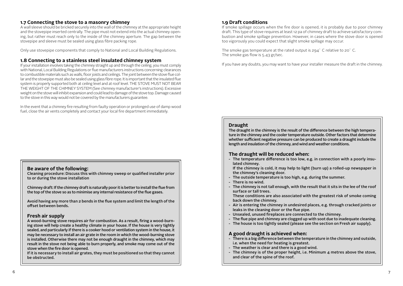# **1.7 Connecting the stove to a masonry chimney**

A wall sleeve should be bricked securely into the wall of the chimney at the appropriate height and the stovepipe inserted centrally. The pipe must not extend into the actual chimney opening, but rather must reach only to the inside of the chimney aperture. The gap between the stovepipe and sleeve must be sealed using glass fibre packing rope.

Only use stovepipe components that comply to National and Local Building Regulations.

# **1.8 Connecting to a stainless steel insulated chimney system**

If your installation involves taking the chimney straight up and through the ceiling, you must comply with National, Local Building Regulations or flue manufacturers instructions concerning clearances to combustible materials such as walls, floor joists and ceilings. The joint between the stove flue collar and the stovepipe must also be sealed using glass fibre rope. It is important that the insulated flue system is properly supported both at ceiling level and at roof level. THE STOVE MUST NOT BEAR THE WEIGHT OF THE CHIMNEY SYSTEM (See chimney manufacturer's instructions). Excessive weight on the stove will inhibit expansion and could lead to damage of the stove top. Damage caused to the stove in this way would not be covered by the manufacturers guarantee.

In the event that a chimney fire resulting from faulty operation or prolonged use of damp wood fuel, close the air vents completely and contact your local fire department immediately.

# **Be aware of the following:**

Cleaning procedure: Discuss this with chimney sweep or qualified installer prior to or during the stove installation

Chimney draft: If the chimney draft is naturally poor it is better to install the flue from the top of the stove so as to minimise any internal resistance of the flue gases.

Avoid having any more than 2 bends in the flue system and limit the length of the offset between bends.

# **Fresh air supply**

A wood-burning stove requires air for combustion. As a result, firing a wood-burning stove will help create a healthy climate in your house. If the house is very tightly sealed, and particularly if there is a cooker hood or ventilation system in the house, it may be necessary to install an air grate in the room in which the wood-burning stove is installed. Otherwise there may not be enough draught in the chimney, which may result in the stove not being able to burn properly, and smoke may come out of the stove when the fire door is opened.

If it is necessary to install air grates, they must be positioned so that they cannot be obstructed.

# **1.9 Draft conditions**

If smoke spillage occurs when the fire door is opened, it is probably due to poor chimney draft. This type of stove requires at least 12 pa of chimney draft to achieve satisfactory combustion and smoke spillage prevention. However, in cases where the stove door is opened too vigorously you could expect that slight smoke spillage may occur.

The smoke gas temperature at the rated output is 294° C relative to 20° C. The smoke gas flow is 5.43 gr/sec.

If you have any doubts, you may want to have your installer measure the draft in the chimney.

# **Draught**

The draught in the chimney is the result of the difference between the high temperature in the chimney and the cooler temperature outside. Other factors that determine whether sufficient negative pressure can be produced to create a draught include the length and insulation of the chimney, and wind and weather conditions.

#### **The draught will be reduced when:**

- The temperature difference is too low, e.g. in connection with a poorly insulated chimney.

 If the chimney is cold, it may help to light (burn up) a rolled-up newspaper in the chimney's cleaning door.

- The outside temperature is too high, e.g. during the summer.
- There is no wind.
- The chimney is not tall enough, with the result that it sits in the lee of the roof surface or tall trees.
- These conditions are also associated with the greatest risk of smoke coming back down the chimney.
- Air is entering the chimney in undesired places, e.g. through cracked joints or leaks in the cleaning door or the flue pipe.
- Unsealed, unused fireplaces are connected to the chimney.
- The flue pipe and chimney are clogged up with soot due to inadequate cleaning.
- The house is too tightly sealed (please see the section on Fresh air supply).

# **A good draught is achieved when:**

- There is a big difference between the temperature in the chimney and outside, i.e. when the need for heating is greatest.
- The weather is clear and there is a good wind.
- The chimney is of the proper height, i.e. Minimum  $\Delta$  metres above the stove, and clear of the spine of the roof.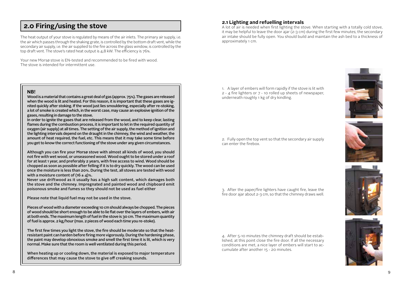# **2.0 Firing/using the stove**

The heat output of your stove is regulated by means of the air inlets. The primary air supply, i.e. the air which passes through the shaking grate, is controlled by the bottom draft vent, while the secondary air supply, i.e. the air supplied to the fire across the glass window, is controlled by the top draft vent. The stove's rated heat output is 4,8 kW. The efficiency is 76%.

Your new Morsø stove is EN-tested and recommended to be fired with wood. The stove is intended for intermittent use.

### **NB!**

Wood is a material that contains a great deal of gas (approx. 75%). The gases are released when the wood is lit and heated. For this reason, it is important that these gases are ignited quickly after stoking. If the wood just lies smouldering, especially after re-stoking, a lot of smoke is created which, in the worst case, may cause an explosive ignition of the gases, resulting in damage to the stove.

In order to ignite the gases that are released from the wood, and to keep clear, lasting flames during the combustion process, it is important to let in the required quantity of oxygen (air supply) at all times. The setting of the air supply, the method of ignition and the lighting intervals depend on the draught in the chimney, the wind and weather, the amount of heat required, the fuel, etc. This means that it may take some time before you get to know the correct functioning of the stove under any given circumstances.

Although you can fire your Morsø stove with almost all kinds of wood, you should not fire with wet wood, or unseasoned wood. Wood ought to be stored under a roof for at least 1 year, and preferably 2 years, with free access to wind. Wood should be chopped as soon as possible after felling if it is to dry quickly. The wood can be used once the moisture is less than 20%. During the test, all stoves are tested with wood with a moisture content of  $(16 \pm 4)\%$ .

Never use driftwood as it usually has a high salt content, which damages both the stove and the chimney. Impregnated and painted wood and chipboard emit poisonous smoke and fumes so they should not be used as fuel either

Please note that liquid fuel may not be used in the stove.

Pieces of wood with a diameter exceeding 10 cm should always be chopped. The pieces of wood should be short enough to be able to lie flat over the layers of embers, with air at both ends. The maximum length of fuel in the stove is 30 cm. The maximum quantity of fuel is approx. 2 kg/hour (max. 2 pieces of wood each time you re-stoke).

The first few times you light the stove, the fire should be moderate so that the heatresistant paint can harden before firing more vigorously. During the hardening phase, the paint may develop obnoxious smoke and smell the first time it is lit, which is very normal. Make sure that the room is well ventilated during this period.

When heating up or cooling down, the material is exposed to major temperature differences that may cause the stove to give off creaking sounds.

# **2.1 Lighting and refuelling intervals**

A lot of air is needed when first lighting the stove. When starting with a totally cold stove, it may be helpful to leave the door ajar (2-3 cm) during the first few minutes; the secondary air intake should be fully open. You should build and maintain the ash bed to a thickness of approximately 1 cm.

1. A layer of embers will form rapidly if the stove is lit with 2 - 4 fire lighters or 7 - 10 rolled up sheets of newspaper, underneath roughly 1 kg of dry kindling.

2. Fully open the top vent so that the secondary air supply can enter the firebox.

3. After the paper/fire lighters have caught fire, leave the fire door ajar about 2-3 cm, so that the chimney draws well.

4. After 5-10 minutes the chimney draft should be established, at this point close the fire door. If all the necessary conditions are met, a nice layer of embers will start to accumulate after another 15 - 20 minutes.





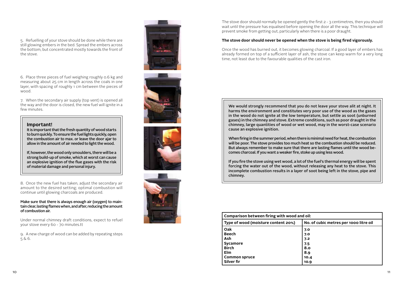5. Refuelling of your stove should be done while there are still glowing embers in the bed. Spread the embers across the bottom, but concentrated mostly towards the front of the stove.

6. Place three pieces of fuel weighing roughly 0.6 kg and measuring about 25 cm in length across the coals in one layer, with spacing of roughly 1 cm between the pieces of wood.

7. When the secondary air supply (top vent) is opened all the way and the door is closed, the new fuel will ignite in a few minutes.

#### **Important!**

It is important that the fresh quantity of wood starts to burn quickly. To ensure the fuel lights quickly, open the combustion air to max. or leave the door ajar to allow in the amount of air needed to light the wood.

If, however, the wood only smoulders, there will be a strong build-up of smoke, which at worst can cause an explosive ignition of the flue gases with the risk of material damage and personal injury.

8. Once the new fuel has taken, adjust the secondary air amount to the desired setting; optimal combustion will continue until glowing charcoals are produced.

Make sure that there is always enough air (oxygen) to maintain clear, lasting flames when, and after, reducing the amount of combustion air.

Under normal chimney draft conditions, expect to refuel your stove every 60 - 70 minutes.tt

9. A new charge of wood can be added by repeating steps 5 & 6.









The stove door should normally be opened gently the first 2 - 3 centimetres, then you should wait until the pressure has equalised before opening the door all the way. This technique will prevent smoke from getting out, particularly when there is a poor draught.

#### **The stove door should never be opened when the stove is being fired vigorously.**

Once the wood has burned out, it becomes glowing charcoal. If a good layer of embers has already formed on top of a sufficient layer of ash, the stove can keep warm for a very long time, not least due to the favourable qualities of the cast iron.

We would strongly recommend that you do not leave your stove alit at night. It harms the environment and constitutes very poor use of the wood as the gases in the wood do not ignite at the low temperature, but settle as soot (unburned gases) in the chimney and stove. Extreme conditions, such as poor draught in the chimney, large quantities of wood or wet wood, may in the worst-case scenario cause an explosive ignition.

When firing in the summer period, when there is minimal need for heat, the combustion will be poor. The stove provides too much heat so the combustion should be reduced. But always remember to make sure that there are lasting flames until the wood becomes charcoal. If you want a weaker fire, stoke up using less wood.

If you fire the stove using wet wood, a lot of the fuel's thermal energy will be spent forcing the water out of the wood, without releasing any heat to the stove. This incomplete combustion results in a layer of soot being left in the stove, pipe and chimney.

| Comparison between firing with wood and oil: |                                        |  |  |
|----------------------------------------------|----------------------------------------|--|--|
| Type of wood (moisture content 20%)          | No. of cubic metres per 1000 litre oil |  |  |
| Oak                                          | 7.0                                    |  |  |
| <b>Beech</b>                                 | 7.0                                    |  |  |
| Ash                                          | 7.2                                    |  |  |
| Sycamore                                     | 7.5                                    |  |  |
| <b>Birch</b>                                 | 8.0                                    |  |  |
| <b>Elm</b>                                   | 8.9                                    |  |  |
| <b>Common spruce</b>                         | 10.4                                   |  |  |
| Silver fir                                   | 10.9                                   |  |  |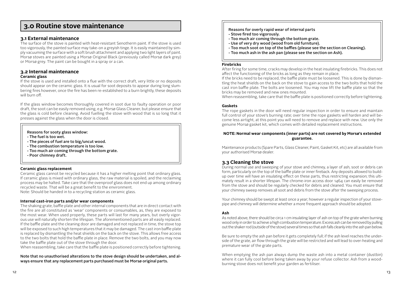# **3.0 Routine stove maintenance**

# **3.1 External maintenance**

The surface of the stove is painted with heat-resistant Senotherm paint. If the stove is used too vigorously, the painted surface may take-on a greyish tinge. It is easily maintained by simply vacuuming the surface with a soft brush attachment and applying two light layers of paint. Morsø stoves are painted using a Morsø Original Black (previously called Morsø dark grey) or Morsø grey. The paint can be bought in a spray or a can.

### **3.2 Internal maintenance Ceramic glass**

If the stove is used and installed onto a flue with the correct draft, very little or no deposits should appear on the ceramic glass. It is usual for soot deposits to appear during long slumbering fires however, once the fire has been re-established to a burn brightly, these deposits will burn off.

If the glass window becomes thoroughly covered in soot due to faulty operation or poor draft, the soot can be easily removed using, e.g. Morsø Glass Cleaner, but please ensure that the glass is cold before cleaning. Avoid fuelling the stove with wood that is so long that it presses against the glass when the door is closed.

#### Reasons for sooty glass window:

- The fuel is too wet.
- The pieces of fuel are to big/uncut wood.
- The combustion temperature is too low.
- Too much air coming through the bottom grate.
- Poor chimney draft.

#### **Ceramic glass replacement**

Ceramic glass cannot be recycled because it has a higher melting point that ordinary glass. If ceramic glass is mixed with ordinary glass, the raw material is spoiled, and the reclaiming process may be halted. Take care that the ovenproof glass does not end up among ordinary recycled waste. That will be a great benefit to the environment.

Note: Should be handed in to a recycling station as ceramic glass.

#### **Internal cast-iron parts and/or wear components**

The shaking grate, baffle plate and other internal components that are in direct contact with the fire are all constituted as 'wear' components or consumables, as, they are exposed to the most wear. When used properly, these parts will last for many years, but overly vigorous use will naturally shorten the lifespan. The aforementioned parts are all easily replaced. If the baffle plate and the cleaning door are damaged and not replaced in time, the stove top will be exposed to such high temperatures that it may be damaged. The cast iron baffle plate is replaced by dismantling the heat shields on the back on the stove. This allows free access to the two bolts that hold the baffle plate in place. Remove the two bolts, and you may now take the baffle plate out of the stove through the door.

When reassembling, take care that the baffle plate is positioned correctly before tightening.

Note that no unauthorised alterations to the stove design should be undertaken, and always ensure that any replacement parts purchased must be Morsø original parts.

Reasons for overly rapid wear of internal parts

- Stove fired too vigorously.
- Too much air coming through the bottom grate.
- Use of very dry wood (wood from old furniture).
- Too much soot on top of the baffles (please see the section on Cleaning).
- Too much ash in the ash pan (please see the section on Ash).

#### **Firebricks**

After firing for some time, cracks may develop in the heat insulating firebricks. This does not affect the functioning of the bricks as long as they remain in place.

If the bricks need to be replaced, the baffle plate must be loosened. This is done by dismantling the heat shields on the back on the stove to gain access to the two bolts that hold the cast iron baffle plate. The bolts are loosened. You may now lift the baffle plate so that the bricks may be removed and new ones mounted.

When reassembling, take care that the baffle plate is positioned correctly before tightening.

#### **Gaskets**

The rope gaskets in the door will need regular inspection in order to ensure and maintain full control of your stove's burning rate; over time the rope gaskets will harden and will become less airtight, at this point you will need to remove and replace with new. Use only the genuine Morsø gasket kit, which comes with detailed replacement instructions.

#### **NOTE: Normal wear components (inner parts) are not covered by Morsø's extended guarantee.**

Maintenance products (Spare Parts, Glass Cleaner, Paint, Gasket Kit, etc) are all available from your authorised Morsø dealer.

# **3.3 Cleaning the stove**

During normal use and sweeping of your stove and chimney, a layer of ash, soot or debris can form, particularly on the top of the baffle plate or inner fireback. Any deposits allowed to buildup over time will have an insulating effect on these parts, thus restricting expansion; this ultimately result in a shorter lifespan. The chrome-iron access door 1464 can easily be removed from the stove and should be regularly checked for debris and cleaned. You must ensure that your chimney sweep removes all soot and debris from the stove after the sweeping process.

Your chimney should be swept at least once a year; however a regular inspection of your stovepipe and chimney will determine whether a more frequent approach should be adopted.

#### **Ash**

As noted above, there should be circa 1 cm insulating layer of ash on top of the grate when burning wood only in order to achieve a high combustion temperature. Excess ash can be removed by pulling out the shaker rod (outside of the stove) several times so that ash falls cleanly into the ash pan below.

Be sure to empty the ash pan before it gets completely full; if the ash level reaches the underside of the grate, air flow through the grate will be restricted and will lead to over-heating and premature wear of the grate parts.

When emptying the ash pan always dump the waste ash into a metal container (dustbin) where it can fully cool before being taken away by your refuse collector. Ash from a woodburning stove does not benefit your garden as fertiliser.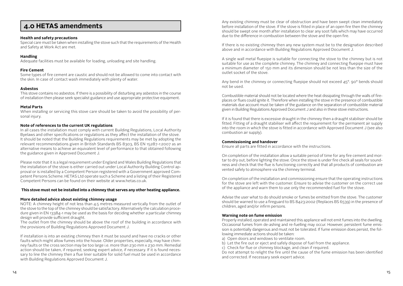# **4.0 HETAS amendments**

#### **Health and safety precautions**

Special care must be taken when installing the stove such that the requirements of the Health and Safety at Work Act are met.

#### **Handling**

Adequate facilities must be available for loading, unloading and site handling.

#### **Fire Cement**

Some types of fire cement are caustic and should not be allowed to come into contact with the skin. In case of contact wash immediately with plenty of water.

#### **Asbestos**

This stove contains no asbestos. If there is a possibility of disturbing any asbestos in the course of installation then please seek specialist guidance and use appropriate protective equipment.

#### **Metal Parts**

When installing or servicing this stove care should be taken to avoid the possibility of personal injury.

#### **Note of references to the current UK regulations**

In all cases the installation must comply with current Building Regulations, Local Authority Byelaws and other specifications or regulations as they affect the installation of the stove. It should be noted that the Building Regulations requirements may be met by adopting the relevant recommendations given in British Standards BS 8303, BS EN 15287-1:2007 as an alternative means to achieve an equivalent level of performance to that obtained following the guidance given in Approved Document J.

Please note that it is a legal requirement under England and Wales Building Regulations that the installation of the stove is either carried out under Local Authority Building Control approval or is installed by a Competent Person registered with a Government approved Competent Persons Scheme. HETAS Ltd operate such a Scheme and a listing of their Registered Competent Persons can be found on their website at www.hetas.co.uk.

#### **This stove must not be installed into a chimney that serves any other heating appliance.**

#### **More detailed advice about existing chimney usage**

NOTE: A chimney height of not less than 4.5 metres measured vertically from the outlet of the stove to the top of the chimney should be satisfactory. Alternatively the calculation procedure given in EN 13384-1 may be used as the basis for deciding whether a particular chimney design will provide sufficient draught.

The outlet from the chimney should be above the roof of the building in accordance with the provisions of Building Regulations Approved Document J.

If installation is into an existing chimney then it must be sound and have no cracks or other faults which might allow fumes into the house. Older properties, especially, may have chimney faults or the cross section may be too large i.e. more than 230 mm x 230 mm. Remedial action should be taken, if required, seeking expert advice, if necessary. If it is found necessary to line the chimney then a flue liner suitable for solid fuel must be used in accordance with Building Regulations Approved Document J.

Any existing chimney must be clear of obstruction and have been swept clean immediately before installation of the stove. If the stove is fitted in place of an open fire then the chimney should be swept one month after installation to clear any soot falls which may have occurred due to the difference in combustion between the stove and the open fire.

If there is no existing chimney then any new system must be to the designation described above and in accordance with Building Regulations Approved Document J.

A single wall metal fluepipe is suitable for connecting the stove to the chimney but is not suitable for use as the complete chimney. The chimney and connecting fluepipe must have a minimum diameter of 150 mm and its dimension should be not less than the size of the outlet socket of the stove.

Any bend in the chimney or connecting fluepipe should not exceed  $45^\circ$ , 90° bends should not be used.

Combustible material should not be located where the heat dissipating through the walls of fireplaces or flues could ignite it. Therefore when installing the stove in the presence of combustible materials due account must be taken of the guidance on the separation of combustible material given in Building Regulations Approved Document J and also in these stove instructions.

If it is found that there is excessive draught in the chimney then a draught stabiliser should be fitted. Fitting of a draught stabiliser will affect the requirement for the permanent air supply into the room in which the stove is fitted in accordance with Approved Document J (see also combustion air supply).

#### **Commissioning and handover**

Ensure all parts are fitted in accordance with the instructions.

On completion of the installation allow a suitable period of time for any fire cement and mortar to dry out, before lighting the stove. Once the stove is under fire check all seals for soundness and check that the flue is functioning correctly and that all products of combustion are vented safely to atmosphere via the chimney terminal.

On completion of the installation and commissioning ensure that the operating instructions for the stove are left with the customer. Ensure to advise the customer on the correct use of the appliance and warn them to use only the recommended fuel for the stove.

Advise the user what to do should smoke or fumes be emitted from the stove. The customer should be warned to use a fireguard to BS 8423:2002 (Replaces BS 6539) in the presence of children, aged and/or infirm persons.

#### **Warning note on fume emission**

Properly installed, operated and maintained this appliance will not emit fumes into the dwelling. Occasional fumes from de-ashing and re-fuelling may occur. However, persistent fume emission is potentially dangerous and must not be tolerated. If fume emission does persist, the following immediate actions should be taken:

a) Open doors and windows to ventilate room.

- b) Let the fire out or eject and safely dispose of fuel from the appliance.
- c) Check for flue or chimney blockage, and clean if required.

Do not attempt to relight the fire until the cause of the fume emission has been identified and corrected. If necessary seek expert advice.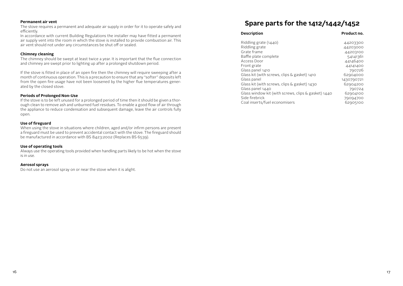#### **Permanent air vent**

The stove requires a permanent and adequate air supply in order for it to operate safely and efficiently.

In accordance with current Building Regulations the installer may have fitted a permanent air supply vent into the room in which the stove is installed to provide combustion air. This air vent should not under any circumstances be shut off or sealed.

#### **Chimney cleaning**

The chimney should be swept at least twice a year. It is important that the flue connection and chimney are swept prior to lighting up after a prolonged shutdown period.

If the stove is fitted in place of an open fire then the chimney will require sweeping after a month of continuous operation. This is a precaution to ensure that any "softer" deposits left from the open fire usage have not been loosened by the higher flue temperatures generated by the closed stove.

#### **Periods of Prolonged Non-Use**

If the stove is to be left unused for a prolonged period of time then it should be given a thorough clean to remove ash and unburned fuel residues. To enable a good flow of air through the appliance to reduce condensation and subsequent damage, leave the air controls fully open.

#### **Use of fireguard**

When using the stove in situations where children, aged and/or infirm persons are present a fireguard must be used to prevent accidental contact with the stove. The fireguard should be manufactured in accordance with BS 8423:2002 (Replaces BS 6539).

#### **Use of operating tools**

Always use the operating tools provided when handling parts likely to be hot when the stove is in use.

#### **Aerosol sprays**

Do not use an aerosol spray on or near the stove when it is alight.

# **Spare parts for the 1412/1442/1452**

#### **Description Product no.** Riddling grate (1440) 44203300 Riddling grate 44203000 Grate frame and the complete of the complete of the complete and the complex of the complex of the complex of the complex of the complex of the complex of the complex of the complex of the complex of the complex of the com Baffle plate complete<br>Access Door 64141361<br>Adams 24146400 Access Door Front grate 44141400 Glass panel 1410 790726<br>Glass kit (with screws, clips & gasket) 1410 62904000 Glass kit (with screws, clips & gasket) 1410<br>Glass panel 1430790721<br>62904200 Glass kit (with screws, clips  $&$  gasket) 1430 Glass panel 1440<br>Glass window kit (with screws, clips & gasket) 1440 62904100 Glass window kit (with screws, clips  $&$  gasket) 1440 Side firebrick 79094700 Coal inserts/fuel economisers 62905100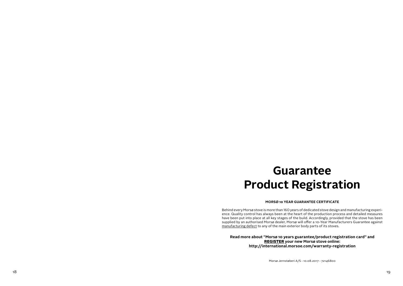# **Guarantee Product Registration**

#### **MORSØ 10 YEAR GUARANTEE CERTIFICATE**

Behind every Morsø stove is more than 160 years of dedicated stove design and manufacturing experi ence. Quality control has always been at the heart of the production process and detailed measures have been put into place at all key stages of the build. Accordingly, provided that the stove has been supplied by an authorised Morsø dealer, Morsø will offer a 10-Year Manufacturers Guarantee against manufacturing defect to any of the main exterior body parts of its stoves.

**Read more about "Morsø 10 years guarantee/product registration card" and** REGISTER **your new Morsø stove online: http://international.morsoe.com/warranty-registration**

Morsø Jernstøberi A/S - 10.08.2017 - 72146800